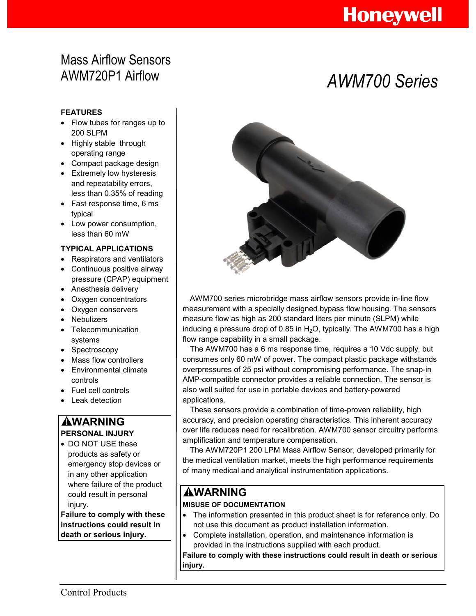# **Honeywell**

## Mass Airflow Sensors AWM720P1 Airflow *AWM700 Series*

### **FEATURES**

- Flow tubes for ranges up to 200 SLPM
- Highly stable through operating range
- Compact package design
- **•** Extremely low hysteresis and repeatability errors, less than 0.35% of reading
- Fast response time, 6 ms typical
- Low power consumption, less than 60 mW

### **TYPICAL APPLICATIONS**

- Respirators and ventilators
- Continuous positive airway pressure (CPAP) equipment
- Anesthesia delivery
- Oxygen concentrators
- Oxygen conservers
- Nebulizers
- Telecommunication systems
- Spectroscopy
- Mass flow controllers
- Environmental climate controls
- Fuel cell controls
- Leak detection

### **WARNING PERSONAL INJURY**

• DO NOT USE these products as safety or emergency stop devices or in any other application where failure of the product could result in personal injury.

**Failure to comply with these instructions could result in death or serious injury.** 



AWM700 series microbridge mass airflow sensors provide in-line flow measurement with a specially designed bypass flow housing. The sensors measure flow as high as 200 standard liters per minute (SLPM) while inducing a pressure drop of 0.85 in  $H_2O$ , typically. The AWM700 has a high flow range capability in a small package.

The AWM700 has a 6 ms response time, requires a 10 Vdc supply, but consumes only 60 mW of power. The compact plastic package withstands overpressures of 25 psi without compromising performance. The snap-in AMP-compatible connector provides a reliable connection. The sensor is also well suited for use in portable devices and battery-powered applications.

These sensors provide a combination of time-proven reliability, high accuracy, and precision operating characteristics. This inherent accuracy over life reduces need for recalibration. AWM700 sensor circuitry performs amplification and temperature compensation.

The AWM720P1 200 LPM Mass Airflow Sensor, developed primarily for the medical ventilation market, meets the high performance requirements of many medical and analytical instrumentation applications.

## **WARNING**

### **MISUSE OF DOCUMENTATION**

- The information presented in this product sheet is for reference only. Do not use this document as product installation information.
- Complete installation, operation, and maintenance information is provided in the instructions supplied with each product.

**Failure to comply with these instructions could result in death or serious injury.**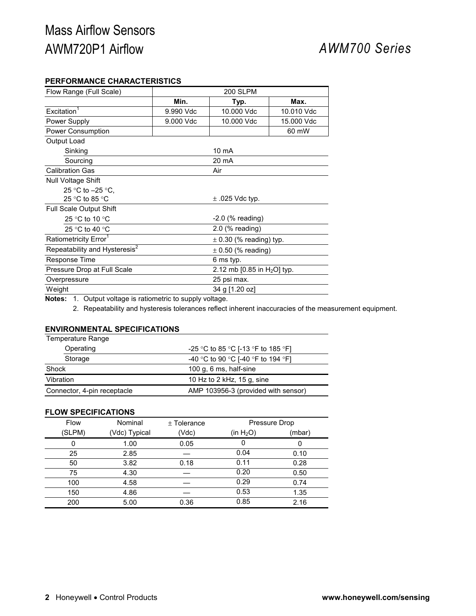## Mass Airflow Sensors AWM720P1 Airflow *AWM700 Series*

### **PERFORMANCE CHARACTERISTICS**

| Flow Range (Full Scale)                                             | <b>200 SLPM</b>                |                     |            |
|---------------------------------------------------------------------|--------------------------------|---------------------|------------|
|                                                                     | Min.                           | Typ.                | Max.       |
| Excitation <sup>1</sup>                                             | 9.990 Vdc                      | 10.000 Vdc          | 10.010 Vdc |
| Power Supply                                                        | 9.000 Vdc                      | 10.000 Vdc          | 15,000 Vdc |
| Power Consumption                                                   |                                |                     | 60 mW      |
| Output Load                                                         |                                |                     |            |
| Sinking                                                             |                                | 10 mA               |            |
| Sourcing                                                            |                                | 20 mA               |            |
| <b>Calibration Gas</b>                                              |                                | Air                 |            |
| <b>Null Voltage Shift</b>                                           |                                |                     |            |
| 25 °C to $-25$ °C.                                                  |                                |                     |            |
| 25 °C to 85 °C                                                      |                                | $\pm$ .025 Vdc typ. |            |
| <b>Full Scale Output Shift</b>                                      |                                |                     |            |
| 25 °C to 10 °C                                                      | $-2.0$ (% reading)             |                     |            |
| $2.0$ (% reading)<br>25 °C to 40 °C                                 |                                |                     |            |
| Ratiometricity Error <sup>1</sup><br>$\pm$ 0.30 (% reading) typ.    |                                |                     |            |
| Repeatability and Hysteresis <sup>2</sup><br>$\pm$ 0.50 (% reading) |                                |                     |            |
| Response Time                                                       | 6 ms typ.                      |                     |            |
| Pressure Drop at Full Scale                                         | 2.12 mb [0.85 in $H_2O$ ] typ. |                     |            |
| Overpressure                                                        |                                | 25 psi max.         |            |
| Weight                                                              |                                | 34 g [1.20 oz]      |            |

**Notes:** 1. Output voltage is ratiometric to supply voltage.

2. Repeatability and hysteresis tolerances reflect inherent inaccuracies of the measurement equipment.

### **ENVIRONMENTAL SPECIFICATIONS**

| Temperature Range           |                                     |  |
|-----------------------------|-------------------------------------|--|
| Operating                   | -25 °C to 85 °C [-13 °F to 185 °F]  |  |
| Storage                     | -40 °C to 90 °C [-40 °F to 194 °F]  |  |
| Shock                       | 100 g, 6 ms, half-sine              |  |
| Vibration                   | 10 Hz to 2 kHz, 15 g, sine          |  |
| Connector, 4-pin receptacle | AMP 103956-3 (provided with sensor) |  |

### **FLOW SPECIFICATIONS**

| <b>Flow</b> | Nominal       | $±$ Tolerance | Pressure Drop |        |
|-------------|---------------|---------------|---------------|--------|
| (SLPM)      | (Vdc) Typical | (Vdc)         | (in $H_2O$ )  | (mbar) |
| O           | 1.00          | 0.05          | 0             | 0      |
| 25          | 2.85          |               | 0.04          | 0.10   |
| 50          | 3.82          | 0.18          | 0.11          | 0.28   |
| 75          | 4.30          |               | 0.20          | 0.50   |
| 100         | 4.58          |               | 0.29          | 0.74   |
| 150         | 4.86          |               | 0.53          | 1.35   |
| 200         | 5.00          | 0.36          | 0.85          | 2.16   |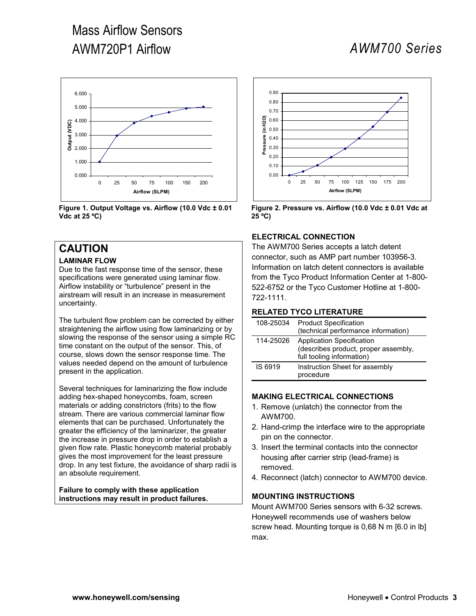# Mass Airflow Sensors AWM720P1 Airflow *AWM700 Series*



**Figure 1. Output Voltage vs. Airflow (10.0 Vdc ± 0.01 Vdc at 25 ºC)** 

## **CAUTION**

### **LAMINAR FLOW**

Due to the fast response time of the sensor, these specifications were generated using laminar flow. Airflow instability or "turbulence" present in the airstream will result in an increase in measurement uncertainty.

The turbulent flow problem can be corrected by either straightening the airflow using flow laminarizing or by slowing the response of the sensor using a simple RC time constant on the output of the sensor. This, of course, slows down the sensor response time. The values needed depend on the amount of turbulence present in the application.

Several techniques for laminarizing the flow include adding hex-shaped honeycombs, foam, screen materials or adding constrictors (frits) to the flow stream. There are various commercial laminar flow elements that can be purchased. Unfortunately the greater the efficiency of the laminarizer, the greater the increase in pressure drop in order to establish a given flow rate. Plastic honeycomb material probably gives the most improvement for the least pressure drop. In any test fixture, the avoidance of sharp radii is an absolute requirement.

**Failure to comply with these application instructions may result in product failures.** 



**Figure 2. Pressure vs. Airflow (10.0 Vdc ± 0.01 Vdc at 25 ºC)** 

### **ELECTRICAL CONNECTION**

The AWM700 Series accepts a latch detent connector, such as AMP part number 103956-3. Information on latch detent connectors is available from the Tyco Product Information Center at 1-800- 522-6752 or the Tyco Customer Hotline at 1-800- 722-1111.

### **RELATED TYCO LITERATURE**

| 108-25034 | <b>Product Specification</b><br>(technical performance information)                                   |
|-----------|-------------------------------------------------------------------------------------------------------|
| 114-25026 | <b>Application Specification</b><br>(describes product, proper assembly,<br>full tooling information) |
| IS 6919   | Instruction Sheet for assembly<br>procedure                                                           |

### **MAKING ELECTRICAL CONNECTIONS**

- 1. Remove (unlatch) the connector from the AWM700.
- 2. Hand-crimp the interface wire to the appropriate pin on the connector.
- 3. Insert the terminal contacts into the connector housing after carrier strip (lead-frame) is removed.
- 4. Reconnect (latch) connector to AWM700 device.

### **MOUNTING INSTRUCTIONS**

Mount AWM700 Series sensors with 6-32 screws. Honeywell recommends use of washers below screw head. Mounting torque is 0,68 N m [6.0 in lb] max.